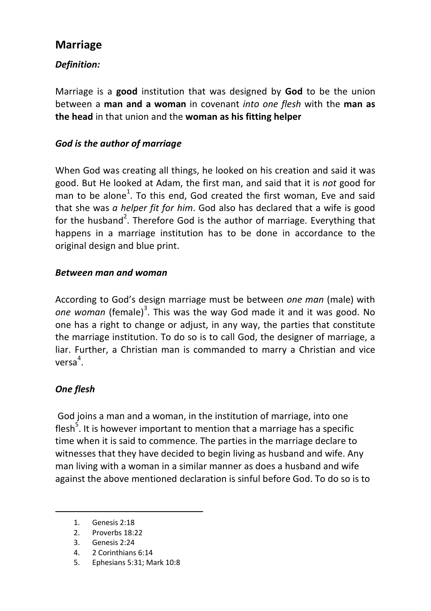# **Marriage**

# *Definition:*

Marriage is a **good** institution that was designed by **God** to be the union between a **man and a woman** in covenant *into one flesh* with the **man as the head** in that union and the **woman as his fitting helper** 

### *God is the author of marriage*

When God was creating all things, he looked on his creation and said it was good. But He looked at Adam, the first man, and said that it is *not* good for man to be alone<sup>1</sup>. To this end, God created the first woman, Eve and said that she was *a helper fit for him*. God also has declared that a wife is good for the husband<sup>2</sup>. Therefore God is the author of marriage. Everything that happens in a marriage institution has to be done in accordance to the original design and blue print.

#### *Between man and woman*

According to God's design marriage must be between *one man* (male) with one woman (female)<sup>3</sup>. This was the way God made it and it was good. No one has a right to change or adjust, in any way, the parties that constitute the marriage institution. To do so is to call God, the designer of marriage, a liar. Further, a Christian man is commanded to marry a Christian and vice versa 4 .

## *One flesh*

 $\overline{a}$ 

God joins a man and a woman, in the institution of marriage, into one flesh<sup>5</sup>. It is however important to mention that a marriage has a specific time when it is said to commence. The parties in the marriage declare to witnesses that they have decided to begin living as husband and wife. Any man living with a woman in a similar manner as does a husband and wife against the above mentioned declaration is sinful before God. To do so is to

- 4. 2 Corinthians 6:14
- 5. Ephesians 5:31; Mark 10:8

<sup>1.</sup> Genesis 2:18

<sup>2.</sup> Proverbs 18:22

<sup>3.</sup> Genesis 2:24